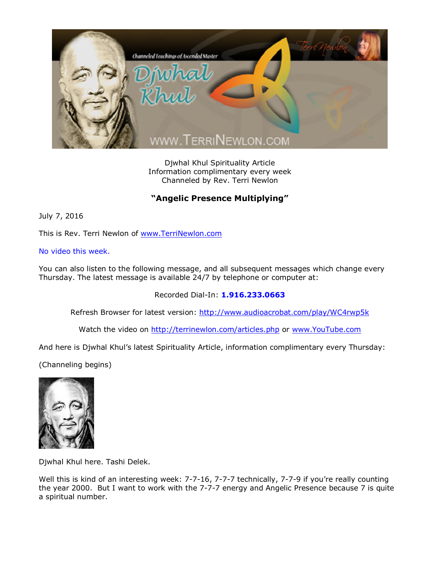

Djwhal Khul Spirituality Article Information complimentary every week Channeled by Rev. Terri Newlon

## **"Angelic Presence Multiplying"**

July 7, 2016

This is Rev. Terri Newlon of [www.TerriNewlon.com](http://www.terrinewlon.com/)

No video this week.

You can also listen to the following message, and all subsequent messages which change every Thursday. The latest message is available 24/7 by telephone or computer at:

Recorded Dial-In: **1.916.233.0663**

Refresh Browser for latest version: <http://www.audioacrobat.com/play/WC4rwp5k>

Watch the video on <http://terrinewlon.com/articles.php> or [www.YouTube.com](http://www.youtube.com/)

And here is Djwhal Khul's latest Spirituality Article, information complimentary every Thursday:

(Channeling begins)



Djwhal Khul here. Tashi Delek.

Well this is kind of an interesting week: 7-7-16, 7-7-7 technically, 7-7-9 if you're really counting the year 2000. But I want to work with the 7-7-7 energy and Angelic Presence because 7 is quite a spiritual number.